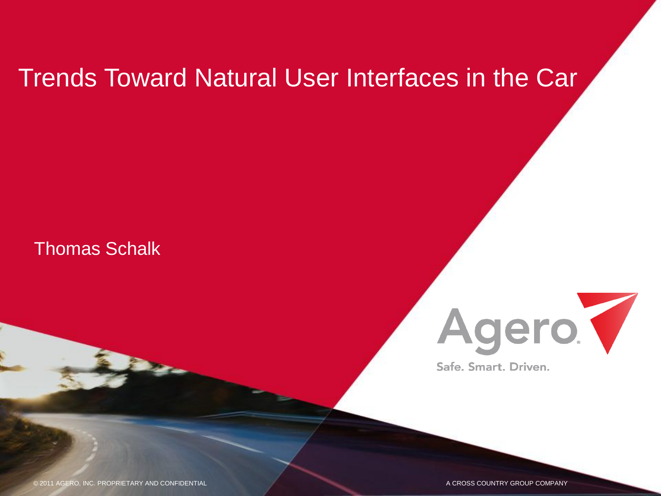#### Trends Toward Natural User Interfaces in the Car

Thomas Schalk



Safe, Smart, Driven.

© 2011 AGERO, INC. PROPRIETARY AND CONFIDENTIAL © 2012 AGERO, INC. PROPRIETARY AND CONFIDENTIAL A CROSS COUNTRY A CROSS COUNTRY GROU GROUP COMPANY P COMPANY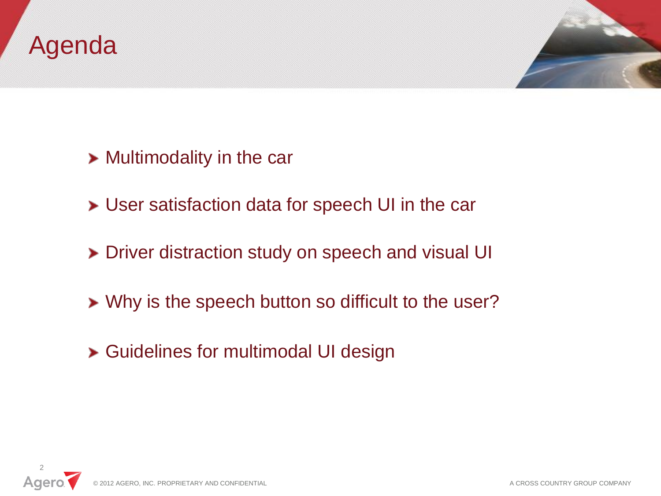#### Agenda



- **> Multimodality in the car**
- User satisfaction data for speech UI in the car
- > Driver distraction study on speech and visual UI
- **>** Why is the speech button so difficult to the user?
- Guidelines for multimodal UI design

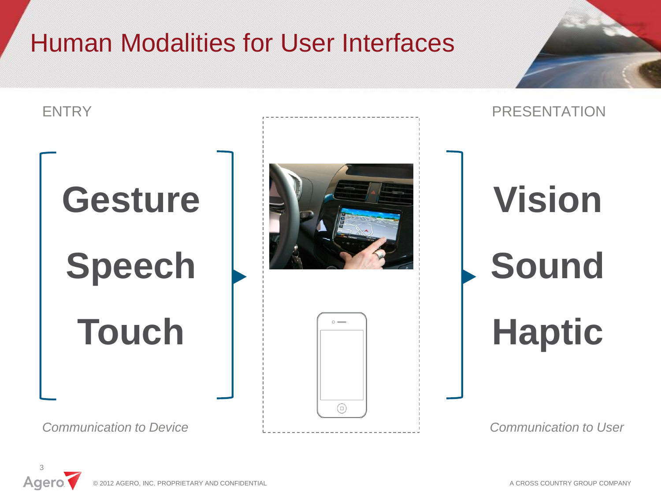# Human Modalities for User Interfaces



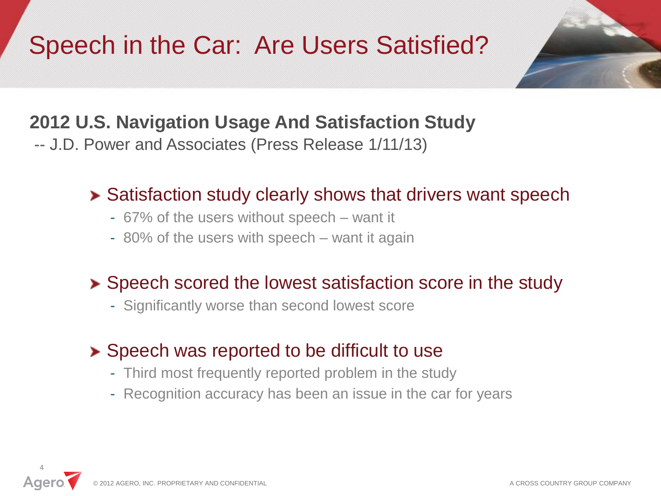# Speech in the Car: Are Users Satisfied?



#### **2012 U.S. Navigation Usage And Satisfaction Study**

-- J.D. Power and Associates (Press Release 1/11/13)

#### **>** Satisfaction study clearly shows that drivers want speech

- 67% of the users without speech want it
- 80% of the users with speech want it again

#### **>** Speech scored the lowest satisfaction score in the study

- Significantly worse than second lowest score

#### **>** Speech was reported to be difficult to use

- Third most frequently reported problem in the study
- Recognition accuracy has been an issue in the car for years

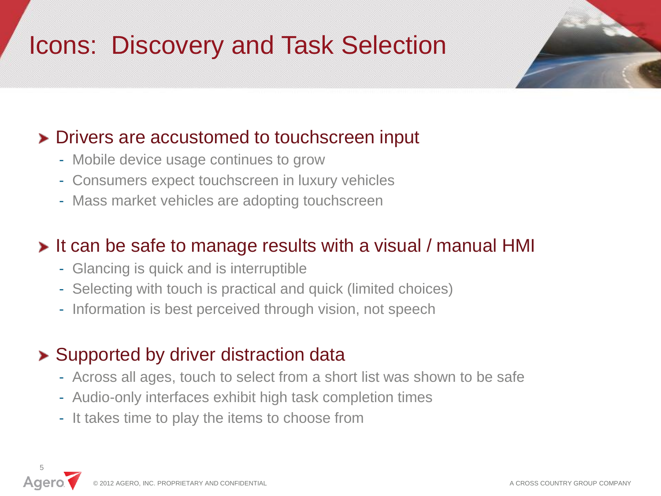# Icons: Discovery and Task Selection



#### **>** Drivers are accustomed to touchscreen input

- Mobile device usage continues to grow
- Consumers expect touchscreen in luxury vehicles
- Mass market vehicles are adopting touchscreen

#### **It can be safe to manage results with a visual / manual HMI**

- Glancing is quick and is interruptible
- Selecting with touch is practical and quick (limited choices)
- Information is best perceived through vision, not speech

#### **> Supported by driver distraction data**

- Across all ages, touch to select from a short list was shown to be safe
- Audio-only interfaces exhibit high task completion times
- It takes time to play the items to choose from

© 2012 AGERO, INC. PROPRIETARY AND CONFIDENTIAL A CROSS COUNTRY GROUP COMPANY 5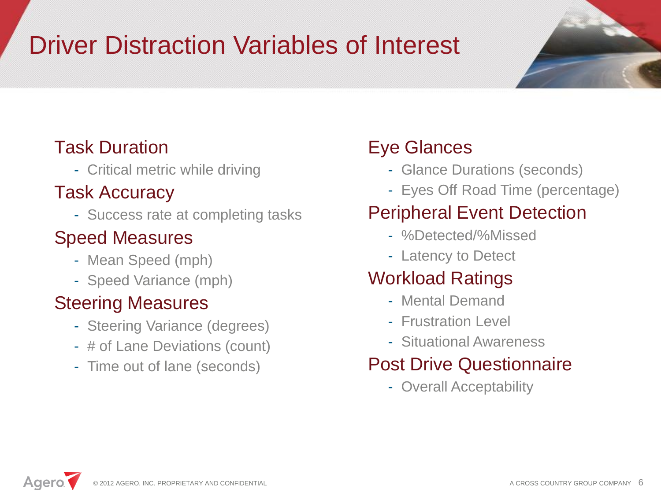# Driver Distraction Variables of Interest



#### Task Duration

- Critical metric while driving

#### Task Accuracy

- Success rate at completing tasks

#### Speed Measures

- Mean Speed (mph)
- Speed Variance (mph)

#### Steering Measures

- Steering Variance (degrees)
- # of Lane Deviations (count)
- Time out of lane (seconds)

#### Eye Glances

- Glance Durations (seconds)
- Eyes Off Road Time (percentage)

#### Peripheral Event Detection

- %Detected/%Missed
- Latency to Detect

#### Workload Ratings

- Mental Demand
- Frustration Level
- Situational Awareness

#### Post Drive Questionnaire

- Overall Acceptability

Agero. © 2012 AGERO, INC. PROPRIETARY AND CONFIDENTIAL A CROSS COUNTRY GROUP COMPANY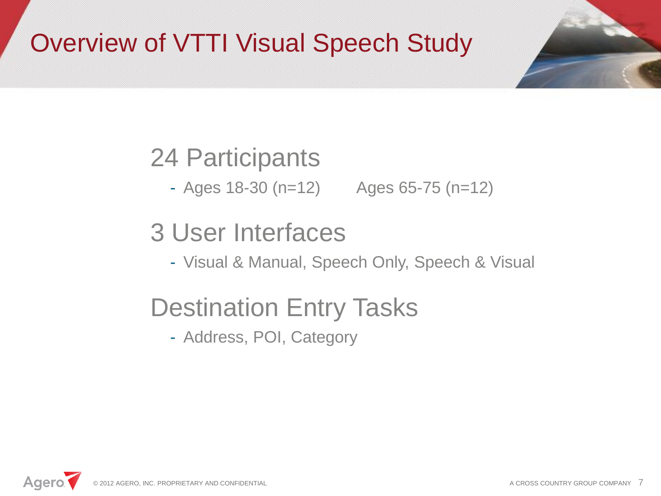# Overview of VTTI Visual Speech Study

## 24 Participants

- Ages 18-30 (n=12) Ages 65-75 (n=12)

## 3 User Interfaces

- Visual & Manual, Speech Only, Speech & Visual

# Destination Entry Tasks

- Address, POI, Category

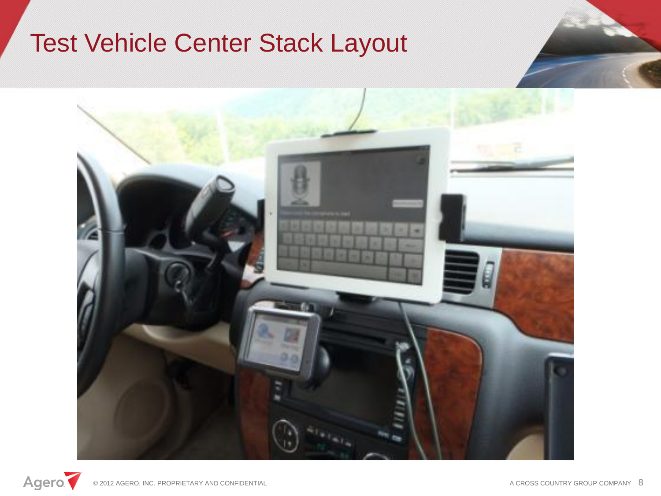## Test Vehicle Center Stack Layout



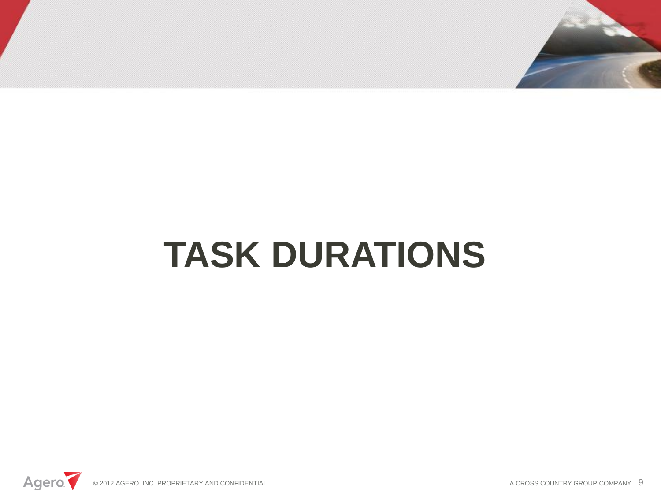

# **TASK DURATIONS**

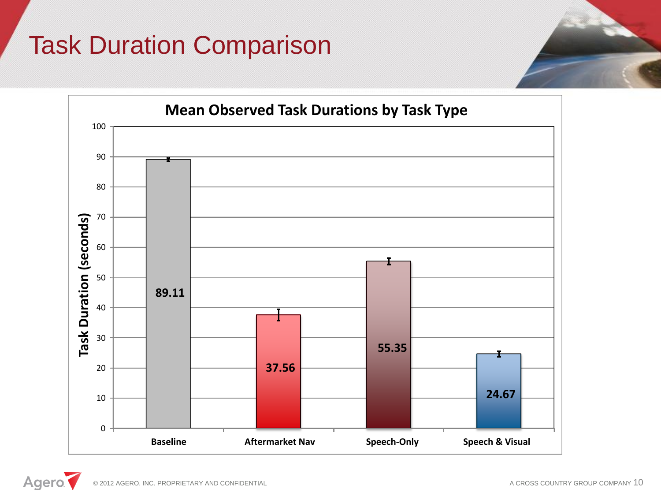# Task Duration Comparison



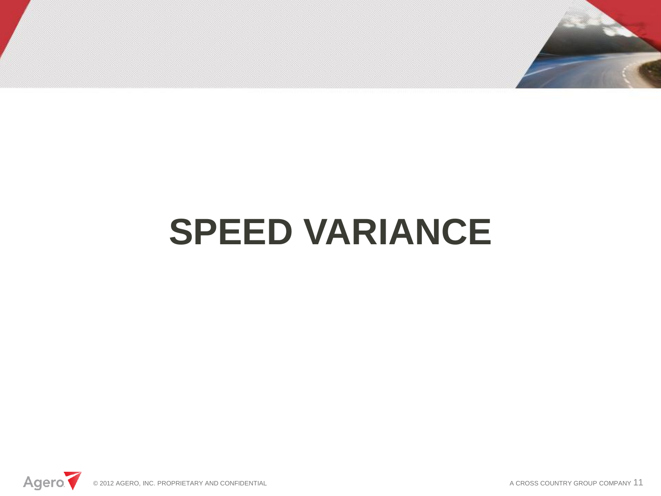

# **SPEED VARIANCE**



A CROSS COUNTRY GROUP COMPANY 11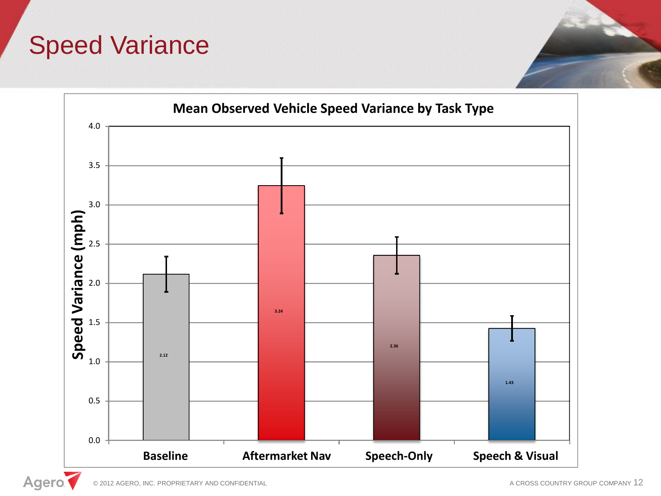#### Speed Variance



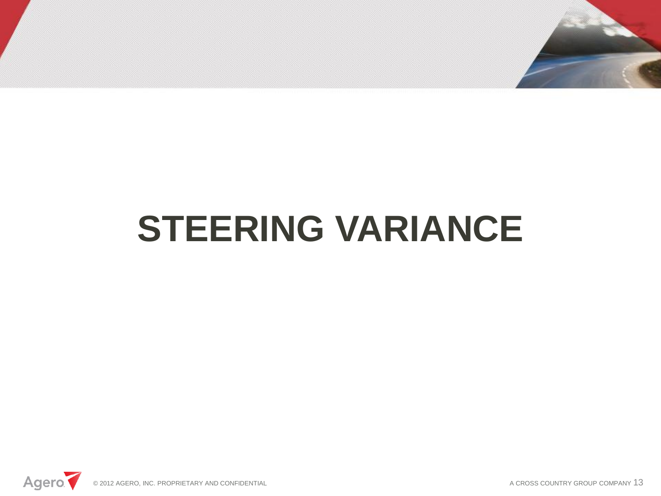

# **STEERING VARIANCE**



A CROSS COUNTRY GROUP COMPANY 13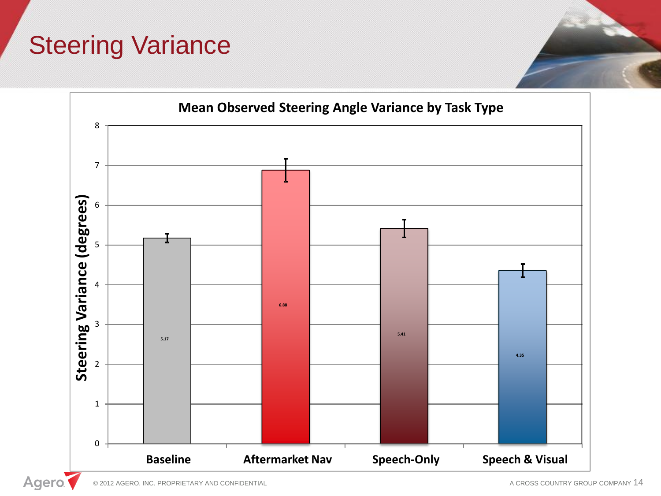## **Steering Variance**

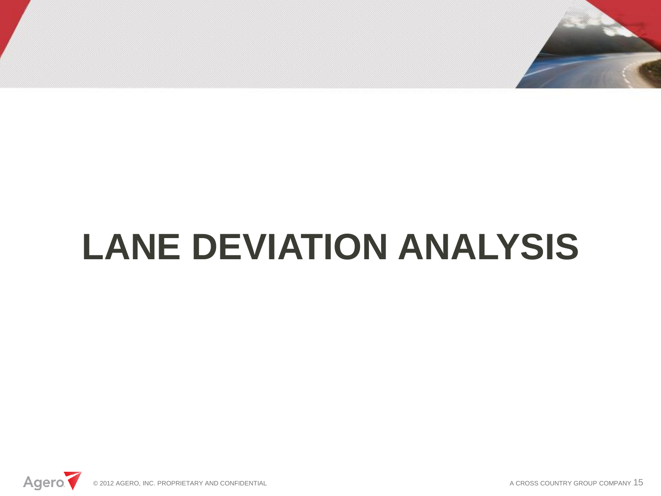

# **LANE DEVIATION ANALYSIS**



A CROSS COUNTRY GROUP COMPANY 15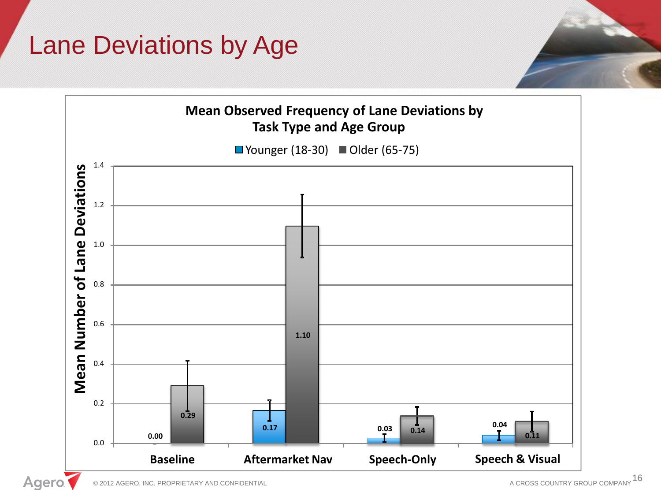## Lane Deviations by Age

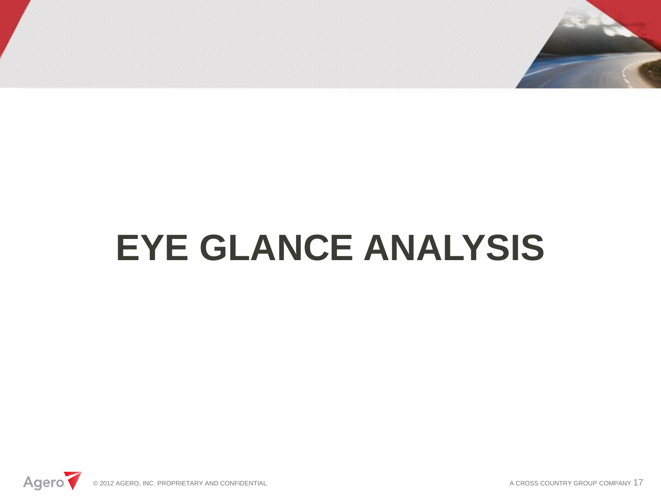

# **EYE GLANCE ANALYSIS**

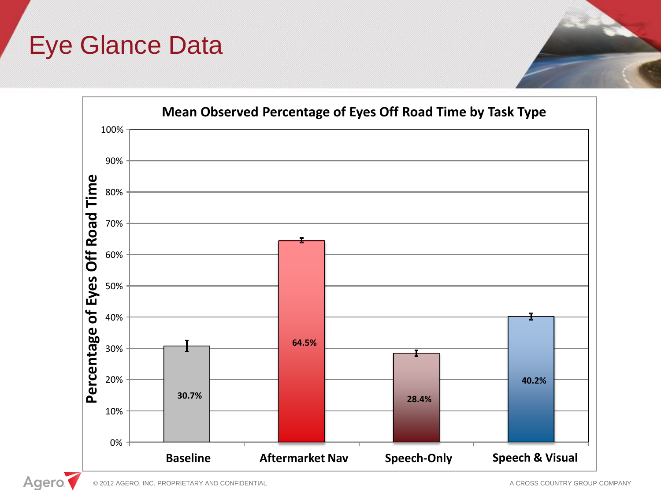#### Eye Glance Data



Agero.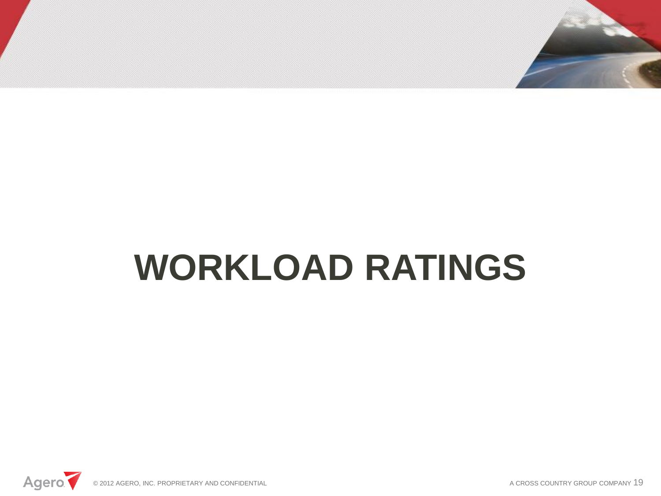

# **WORKLOAD RATINGS**



A CROSS COUNTRY GROUP COMPANY 19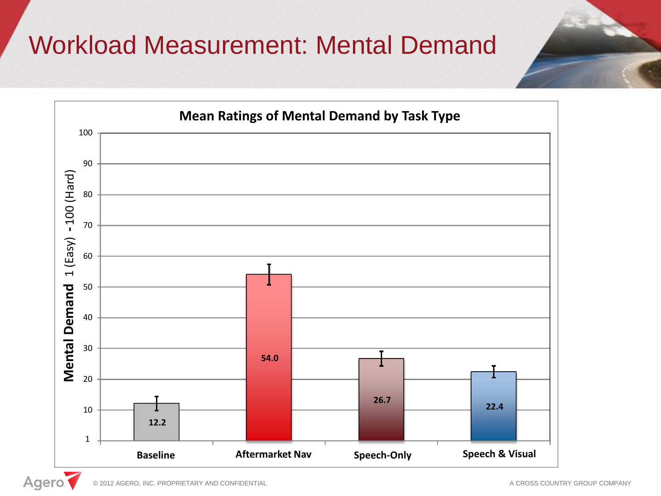## Workload Measurement: Mental Demand

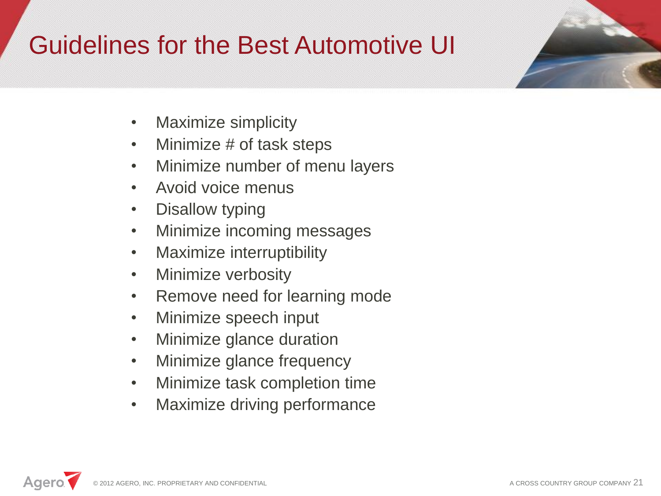## Guidelines for the Best Automotive UI

- Maximize simplicity
- Minimize # of task steps
- Minimize number of menu layers
- Avoid voice menus
- Disallow typing
- Minimize incoming messages
- Maximize interruptibility
- Minimize verbosity
- Remove need for learning mode
- Minimize speech input
- Minimize glance duration
- Minimize glance frequency
- Minimize task completion time
- Maximize driving performance

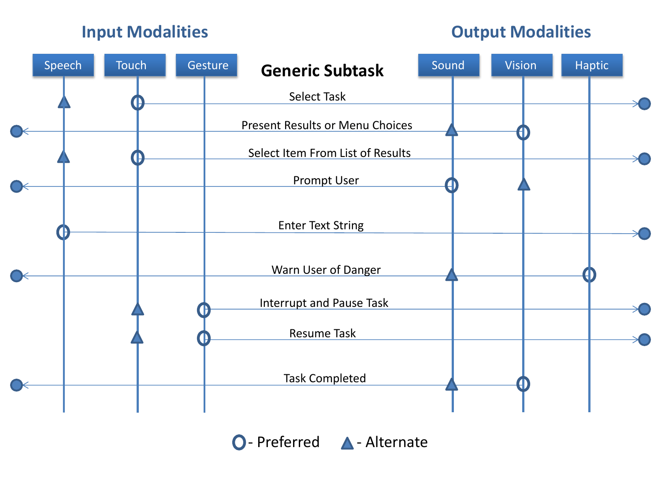#### **Input Modalities Output Modalities**



O-Preferred A-Alternate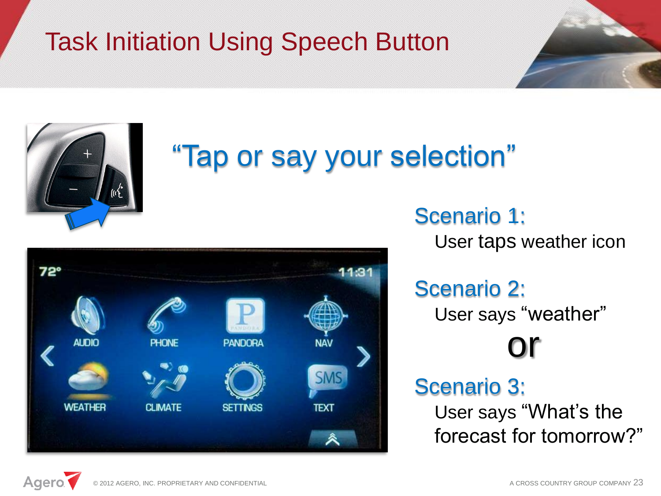# Task Initiation Using Speech Button





# "Tap or say your selection"



#### Scenario 1:

User taps weather icon

## Scenario 2:

User says "weather"

# or

#### Scenario 3:

User says "What's the forecast for tomorrow?"

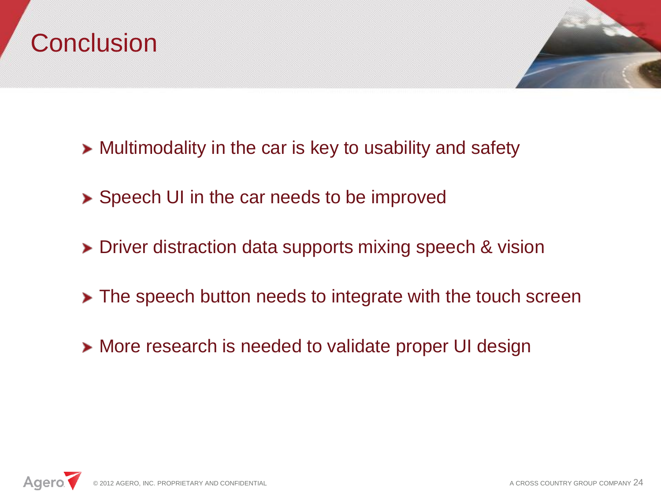# **Conclusion**



- **>** Multimodality in the car is key to usability and safety
- **>** Speech UI in the car needs to be improved
- > Driver distraction data supports mixing speech & vision
- **The speech button needs to integrate with the touch screen**
- **> More research is needed to validate proper UI design**